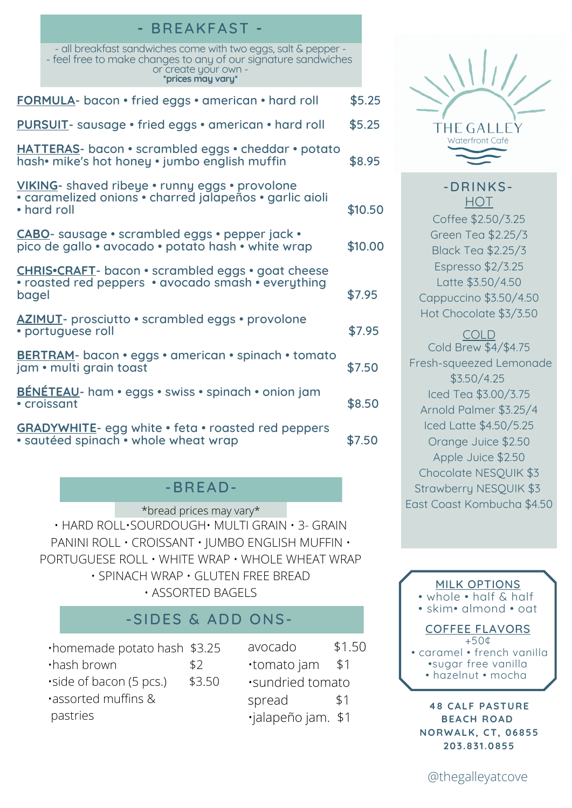|                                                                                                                          | DREANFAJI                                                                                                                                                                     |        |         |
|--------------------------------------------------------------------------------------------------------------------------|-------------------------------------------------------------------------------------------------------------------------------------------------------------------------------|--------|---------|
|                                                                                                                          | - all breakfast sandwiches come with two eggs, salt & pepper -<br>- feel free to make changes to any of our signature sandwiches<br>or create your own -<br>*prices may vary* |        |         |
| FORMULA- bacon • fried eggs • american • hard roll                                                                       |                                                                                                                                                                               |        | \$5.25  |
| <b>PURSUIT</b> - sausage • fried eggs • american • hard roll                                                             |                                                                                                                                                                               |        | \$5.25  |
|                                                                                                                          | HATTERAS- bacon · scrambled eggs · cheddar · potato<br>hash• mike's hot honey • jumbo english muffin                                                                          |        | \$8.95  |
| VIKING- shaved ribeye . runny eggs . provolone<br>• caramelized onions • charred jalapeños • garlic aioli<br>• hard roll |                                                                                                                                                                               |        | \$10.50 |
|                                                                                                                          | CABO- sausage · scrambled eggs · pepper jack ·<br>pico de gallo • avocado • potato hash • white wrap                                                                          |        | \$10.00 |
| <b>CHRIS.CRAFT</b> - bacon . scrambled eggs . goat cheese<br>• roasted red peppers • avocado smash • everything<br>bagel |                                                                                                                                                                               |        | \$7.95  |
|                                                                                                                          | <b>AZIMUT</b> - prosciutto • scrambled eggs • provolone<br>· portuguese roll                                                                                                  | \$7.95 |         |
|                                                                                                                          | BERTRAM- bacon · eggs · american · spinach · tomato<br>jam • multi grain toast                                                                                                | \$7.50 |         |
|                                                                                                                          | <b>BÉNÉTEAU</b> - ham • eggs • swiss • spinach • onion jam<br>• croissant                                                                                                     | \$8.50 |         |
|                                                                                                                          | <b>GRADYWHITE-</b> egg white • feta • roasted red peppers<br>· sautéed spinach • whole wheat wrap                                                                             | \$7.50 |         |
|                                                                                                                          |                                                                                                                                                                               |        |         |

**-** BREAKFAST **-**

## -BREAD-

• HARD ROLL•SOURDOUGH• MULTI GRAIN • 3- GRAIN PANINI ROLL • CROISSANT • JUMBO ENGLISH MUFFIN • PORTUGUESE ROLL • WHITE WRAP • WHOLE WHEAT WRAP • SPINACH WRAP • GLUTEN FREE BREAD • ASSORTED BAGELS \*bread prices may vary\*

# -SIDES & ADD ONS-

| .homemade potato hash \$3.25 |        |  |  |
|------------------------------|--------|--|--|
| ·hash brown                  | \$2    |  |  |
| side of bacon (5 pcs.)       | \$3.50 |  |  |
| assorted muffins &           |        |  |  |
| pastries                     |        |  |  |

avocado \$1.50 •tomato jam \$1 •sundried tomato spread \$1 •jalapeño jam. \$1



### -DRINKS-**HOT**

Coffee \$2.50/3.25 Green Tea \$2.25/3 Black Tea \$2.25/3 Espresso \$2/3.25 Latte \$3.50/4.50 Cappuccino \$3.50/4.50 Hot Chocolate \$3/3.50

COLD Cold Brew \$4/\$4.75 Fresh-squeezed Lemonade \$3.50/4.25 Iced Tea \$3.00/3.75 Arnold Palmer \$3.25/4 Iced Latte \$4.50/5.25 Orange Juice \$2.50 Apple Juice \$2.50 Chocolate NESQUIK \$3 Strawberry NESQUIK \$3 East Coast Kombucha \$4.50

#### MILK OPTIONS

• whole • half & half

• skim• almond • oat

#### COFFEE FLAVORS  $+50<sup>\circ</sup>$

• caramel • french vanilla •sugar free vanilla • hazelnut • mocha

**48 CALF PASTURE BEACH ROAD NORWALK, CT, 06855 203.831.0855**

@thegalleyatcove